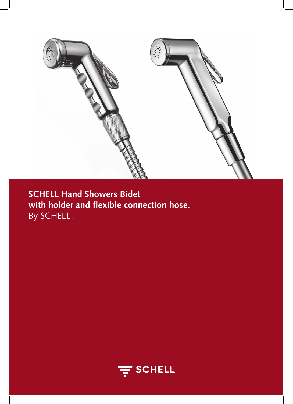

**SCHELL Hand Showers Bidet with holder and flexible connection hose.** By SCHELL.